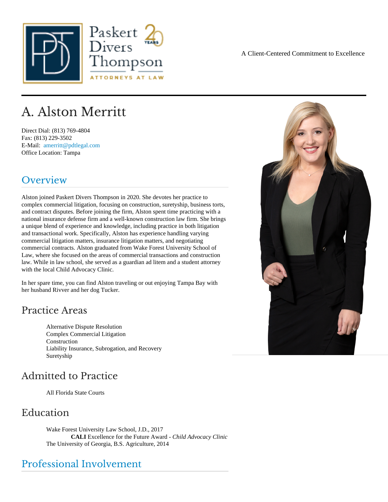# A. Alston Merritt

Direct Dial: (813) 769-4804 Fax: (813) 229-3502 E-Mail: [amerritt@pdtlegal.com](mailto:amerritt@pdtlegal.com ) Office Location: Tampa

### Overview

Alston joined Paskert Divers Thompson in 2020. She devotes her practice to complex commercial litigation, focusing on construction, suretyship, business torts, and contract disputes. Before joining the firm, Alston spent time practicing with a national insurance defense firm and a well-known construction law firm. She brings a unique blend of experience and knowledge, including practice in both litigation and transactional work. Specifically, Alston has experience handling varying commercial litigation matters, insurance litigation matters, and negotiating commercial contracts. Alston graduated from Wake Forest University School of Law, where she focused on the areas of commercial transactions and construction law. While in law school, she served as a guardian ad litem and a student attorney with the local Child Advocacy Clinic.

In her spare time, you can find Alston traveling or out enjoying Tampa Bay with her husband Rivver and her dog Tucker.

#### Practice Areas

Alternative Dispute Resolution Complex Commercial Litigation **Construction** Liability Insurance, Subrogation, and Recovery **Suretyship** 

### Admitted to Practice

All Florida State Courts

#### Education

Wake Forest University Law School, J.D., 2017 CALI Excellence for the Future Award Child Advocacy Clinic The University of Georgia, B.S. Agriculture, 2014

#### Professional Involvement